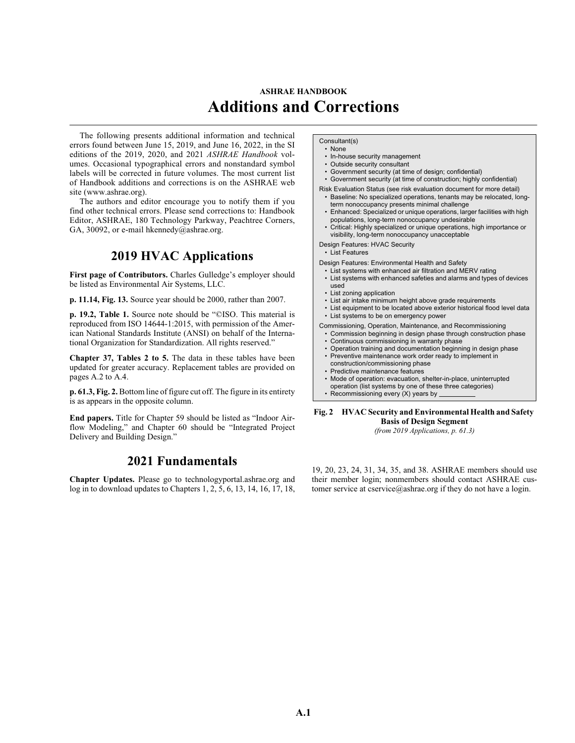## **ASHRAE HANDBOOK Additions and Corrections**

The following presents additional information and technical errors found between June 15, 2019, and June 16, 2022, in the SI editions of the 2019, 2020, and 2021 *ASHRAE Handbook* volumes. Occasional typographical errors and nonstandard symbol labels will be corrected in future volumes. The most current list of Handbook additions and corrections is on the ASHRAE web site [\(www.ashrae.org](http://www.ashrae.org
)).

The authors and editor encourage you to notify them if you find other technical errors. Please send corrections to: Handbook Editor, ASHRAE, 180 Technology Parkway, Peachtree Corners, GA, 30092, or e-mail [hkennedy@ashrae.org.](mailto:hkennedy@ashrae.org)

## **2019 HVAC Applications**

First page of Contributors. Charles Gulledge's employer should be listed as Environmental Air Systems, LLC.

**p. 11.14, Fig. 13.** Source year should be 2000, rather than 2007.

**p. 19.2, Table 1.** Source note should be "©ISO. This material is reproduced from ISO 14644-1:2015, with permission of the American National Standards Institute (ANSI) on behalf of the International Organization for Standardization. All rights reserved."

**Chapter 37, Tables 2 to 5.** The data in these tables have been updated for greater accuracy. Replacement tables are provided on pages A.2 to A.4.

**p. 61.3, Fig. 2.** Bottom line of figure cut off. The figure in its entirety is as appears in the opposite column.

**End papers.** Title for Chapter 59 should be listed as "Indoor Airflow Modeling," and Chapter 60 should be "Integrated Project Delivery and Building Design."

## **2021 Fundamentals**

**Chapter Updates.** Please go to technologyportal.ashrae.org and log in to download updates to Chapters 1, 2, 5, 6, 13, 14, 16, 17, 18,

## Consultant(s) • None

- In-house security management
- Outside security consultant
- Government security (at time of design; confidential)
- Government security (at time of construction; highly confidential)
- Risk Evaluation Status (see risk evaluation document for more detail) • Baseline: No specialized operations, tenants may be relocated, long-
- term nonoccupancy presents minimal challenge • Enhanced: Specialized or unique operations, larger facilities with high
- populations, long-term nonoccupancy undesirable • Critical: Highly specialized or unique operations, high importance or visibility, long-term nonoccupancy unacceptable
- Design Features: HVAC Security
- List Features

Design Features: Environmental Health and Safety

- List systems with enhanced air filtration and MERV rating
- List systems with enhanced safeties and alarms and types of devices used
- List zoning application
- List air intake minimum height above grade requirements
- List equipment to be located above exterior historical flood level data
- List systems to be on emergency power

Commissioning, Operation, Maintenance, and Recommissioning

- Commission beginning in design phase through construction phase
- Continuous commissioning in warranty phase
- Operation training and documentation beginning in design phase
- Preventive maintenance work order ready to implement in
- construction/commissioning phase • Predictive maintenance features
- Mode of operation: evacuation, shelter-in-place, uninterrupted
- operation (list systems by one of these three categories)
- Recommissioning every (X) years by

**Fig. 2 HVAC Security and Environmental Health and Safety Basis of Design Segment**

*(from 2019 Applications, p. 61.3)*

19, 20, 23, 24, 31, 34, 35, and 38. ASHRAE members should use their member login; nonmembers should contact ASHRAE customer service at cservice@ashrae.org if they do not have a login.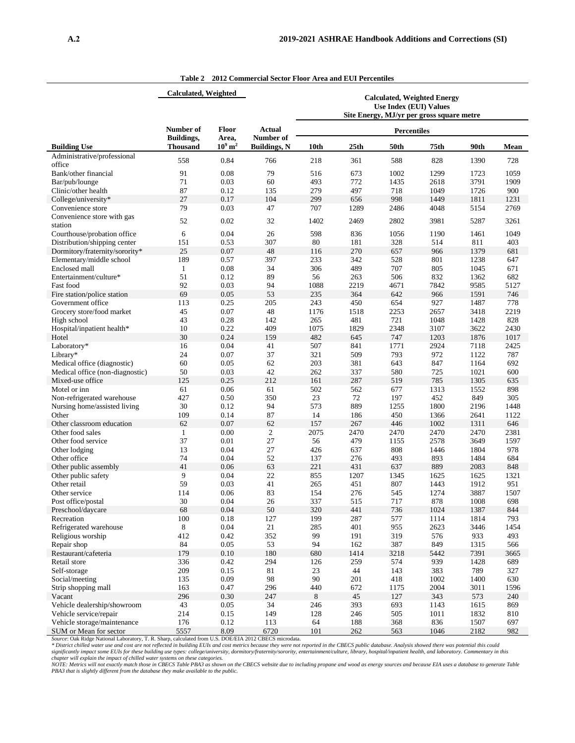|                                        | <b>Calculated, Weighted</b>          |                                |                                  |                                                                     |                  |                    |                                           |              |              |
|----------------------------------------|--------------------------------------|--------------------------------|----------------------------------|---------------------------------------------------------------------|------------------|--------------------|-------------------------------------------|--------------|--------------|
|                                        |                                      |                                |                                  | <b>Calculated, Weighted Energy</b><br><b>Use Index (EUI) Values</b> |                  |                    |                                           |              |              |
|                                        |                                      |                                |                                  |                                                                     |                  |                    | Site Energy, MJ/yr per gross square metre |              |              |
|                                        | Number of                            | <b>Floor</b>                   | <b>Actual</b>                    |                                                                     |                  | <b>Percentiles</b> |                                           |              |              |
| <b>Building Use</b>                    | <b>Buildings,</b><br><b>Thousand</b> | Area,<br>$10^9$ m <sup>2</sup> | Number of<br><b>Buildings, N</b> | 10th                                                                | 25 <sub>th</sub> | 50th               | 75th                                      | 90th         | Mean         |
| Administrative/professional            | 558                                  | 0.84                           | 766                              | 218                                                                 | 361              | 588                | 828                                       | 1390         | 728          |
| office                                 | 91                                   |                                | 79                               |                                                                     |                  |                    |                                           |              |              |
| Bank/other financial<br>Bar/pub/lounge | 71                                   | 0.08<br>0.03                   | 60                               | 516<br>493                                                          | 673<br>772       | 1002<br>1435       | 1299                                      | 1723<br>3791 | 1059<br>1909 |
| Clinic/other health                    | 87                                   | 0.12                           | 135                              | 279                                                                 | 497              | 718                | 2618<br>1049                              | 1726         | 900          |
| College/university*                    | 27                                   | 0.17                           | 104                              | 299                                                                 | 656              | 998                | 1449                                      | 1811         | 1231         |
| Convenience store                      | 79                                   | 0.03                           | 47                               | 707                                                                 | 1289             | 2486               | 4048                                      | 5154         | 2769         |
|                                        |                                      |                                |                                  |                                                                     |                  |                    |                                           |              |              |
| Convenience store with gas<br>station  | 52                                   | 0.02                           | 32                               | 1402                                                                | 2469             | 2802               | 3981                                      | 5287         | 3261         |
| Courthouse/probation office            | 6                                    | 0.04                           | 26                               | 598                                                                 | 836              | 1056               | 1190                                      | 1461         | 1049         |
| Distribution/shipping center           | 151                                  | 0.53                           | 307                              | 80                                                                  | 181              | 328                | 514                                       | 811          | 403          |
| Dormitory/fraternity/sorority*         | 25                                   | 0.07                           | 48                               | 116                                                                 | 270              | 657                | 966                                       | 1379         | 681          |
| Elementary/middle school               | 189                                  | 0.57                           | 397                              | 233                                                                 | 342              | 528                |                                           | 1238         | 647          |
| Enclosed mall                          |                                      | 0.08                           | 34                               | 306                                                                 | 489              | 707                | 801<br>805                                |              | 671          |
|                                        | 1                                    |                                |                                  |                                                                     |                  |                    |                                           | 1045         |              |
| Entertainment/culture*                 | 51                                   | 0.12                           | 89                               | 56                                                                  | 263              | 506                | 832                                       | 1362         | 682          |
| Fast food                              | 92                                   | 0.03                           | 94                               | 1088                                                                | 2219             | 4671               | 7842                                      | 9585         | 5127         |
| Fire station/police station            | 69                                   | 0.05                           | 53                               | 235                                                                 | 364              | 642                | 966                                       | 1591         | 746          |
| Government office                      | 113                                  | 0.25                           | 205                              | 243                                                                 | 450              | 654                | 927                                       | 1487         | 778          |
| Grocery store/food market              | 45                                   | 0.07                           | 48                               | 1176                                                                | 1518             | 2253               | 2657                                      | 3418         | 2219         |
| High school                            | 43                                   | 0.28                           | 142                              | 265                                                                 | 481              | 721                | 1048                                      | 1428         | 828          |
| Hospital/inpatient health*             | 10                                   | 0.22                           | 409                              | 1075                                                                | 1829             | 2348               | 3107                                      | 3622         | 2430         |
| Hotel                                  | 30                                   | 0.24                           | 159                              | 482                                                                 | 645              | 747                | 1203                                      | 1876         | 1017         |
| Laboratory*                            | 16                                   | 0.04                           | 41                               | 507                                                                 | 841              | 1771               | 2924                                      | 7118         | 2425         |
| Library*                               | 24                                   | 0.07                           | 37                               | 321                                                                 | 509              | 793                | 972                                       | 1122         | 787          |
| Medical office (diagnostic)            | 60                                   | 0.05                           | 62                               | 203                                                                 | 381              | 643                | 847                                       | 1164         | 692          |
| Medical office (non-diagnostic)        | 50                                   | 0.03                           | 42                               | 262                                                                 | 337              | 580                | 725                                       | 1021         | 600          |
| Mixed-use office                       | 125                                  | 0.25                           | 212                              | 161                                                                 | 287              | 519                | 785                                       | 1305         | 635          |
| Motel or inn                           | 61                                   | 0.06                           | 61                               | 502                                                                 | 562              | 677                | 1313                                      | 1552         | 898          |
| Non-refrigerated warehouse             | 427                                  | 0.50                           | 350                              | $23\,$                                                              | 72               | 197                | 452                                       | 849          | 305          |
| Nursing home/assisted living           | 30                                   | 0.12                           | 94                               | 573                                                                 | 889              | 1255               | 1800                                      | 2196         | 1448         |
| Other                                  | 109                                  | 0.14                           | 87                               | 14                                                                  | 186              | 450                | 1366                                      | 2641         | 1122         |
| Other classroom education              | 62                                   | 0.07                           | 62                               | 157                                                                 | 267              | 446                | 1002                                      | 1311         | 646          |
| Other food sales                       | $\mathbf{1}$                         | 0.00                           | $\mathfrak{2}$                   | 2075                                                                | 2470             | 2470               | 2470                                      | 2470         | 2381         |
| Other food service                     | 37                                   | 0.01                           | 27                               | 56                                                                  | 479              | 1155               | 2578                                      | 3649         | 1597         |
| Other lodging                          | 13                                   | 0.04                           | 27                               | 426                                                                 | 637              | 808                | 1446                                      | 1804         | 978          |
| Other office                           | 74                                   | 0.04                           | 52                               | 137                                                                 | 276              | 493                | 893                                       | 1484         | 684          |
| Other public assembly                  | 41                                   | 0.06                           | 63                               | 221                                                                 | 431              | 637                | 889                                       | 2083         | 848          |
| Other public safety                    | 9                                    | 0.04                           | 22                               | 855                                                                 | 1207             | 1345               | 1625                                      | 1625         | 1321         |
| Other retail                           | 59                                   | 0.03                           | 41                               | 265                                                                 | 451              | 807                | 1443                                      | 1912         | 951          |
| Other service                          | 114                                  | 0.06                           | 83                               | 154                                                                 | 276              | 545                | 1274                                      | 3887         | 1507         |
| Post office/postal                     | 30                                   | 0.04                           | 26                               | 337                                                                 | 515              | 717                | 878                                       | 1008         | 698          |
| Preschool/daycare                      | 68                                   | 0.04                           | 50                               | 320                                                                 | 441              | 736                | 1024                                      | 1387         | 844          |
| Recreation                             | 100                                  | 0.18                           | 127                              | 199                                                                 | 287              | 577                | 1114                                      | 1814         | 793          |
| Refrigerated warehouse                 | 8                                    | 0.04                           | 21                               | 285                                                                 | 401              | 955                | 2623                                      | 3446         | 1454         |
| Religious worship                      | 412                                  | 0.42                           | 352                              | 99                                                                  | 191              | 319                | 576                                       | 933          | 493          |
| Repair shop                            | 84                                   | 0.05                           | 53                               | 94                                                                  | 162              | 387                | 849                                       | 1315         | 566          |
| Restaurant/cafeteria                   | 179                                  | 0.10                           | 180                              | 680                                                                 | 1414             | 3218               | 5442                                      | 7391         | 3665         |
| Retail store                           | 336                                  | 0.42                           | 294                              | 126                                                                 | 259              | 574                | 939                                       | 1428         | 689          |
| Self-storage                           | 209                                  | 0.15                           | 81                               | 23                                                                  | 44               | 143                | 383                                       | 789          | 327          |
| Social/meeting                         | 135                                  | 0.09                           | 98                               | $90\,$                                                              | 201              | 418                | 1002                                      | 1400         | 630          |
| Strip shopping mall                    | 163                                  | 0.47                           | 296                              | 440                                                                 | 672              | 1175               | 2004                                      | 3011         | 1596         |
| Vacant                                 | 296                                  | 0.30                           | 247                              | 8                                                                   | 45               | 127                | 343                                       | 573          | 240          |
| Vehicle dealership/showroom            | 43                                   | 0.05                           | 34                               | 246                                                                 | 393              | 693                | 1143                                      | 1615         | 869          |
| Vehicle service/repair                 | 214                                  | 0.15                           | 149                              | 128                                                                 | 246              | 505                | 1011                                      | 1832         | 810          |
| Vehicle storage/maintenance            | 176                                  | 0.12                           | 113                              | 64                                                                  | 188              | 368                | 836                                       | 1507         | 697          |
| SHM or Moon for soctor                 | 5557                                 | 900                            | 6720                             | 1 <sub>01</sub>                                                     | 262              | 563                | 1046                                      | 2182         | 082          |

**Table 2 2012 Commercial Sector Floor Area and EUI Percentiles**

SUM or Mean for sector<br>
Source: Oak Ridge National Laboratory, T. R. Sharp, calculated from U.S. DOE/EELA 2012 CBECS microdata.<br> *\* District chilled water use and cost are not reflected in building EUIs and cost metrics be*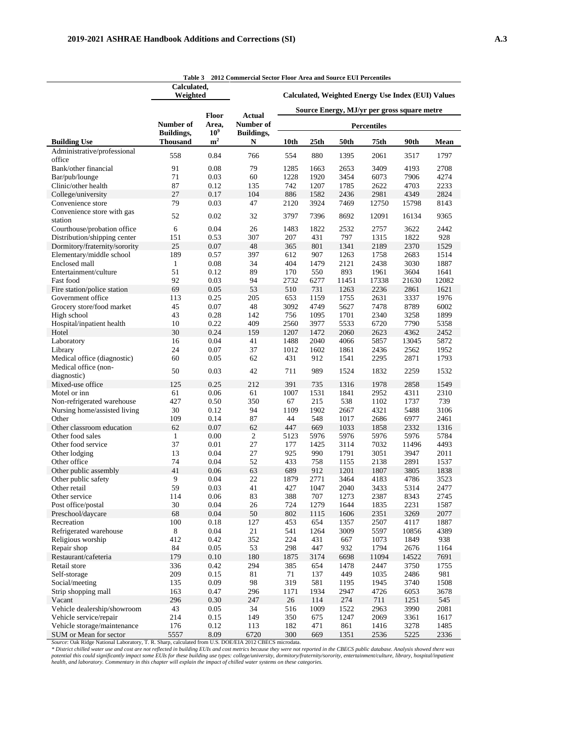|                                                  | Calculated,<br>Weighted              |                                   |                      | <b>Calculated, Weighted Energy Use Index (EUI) Values</b><br>Source Energy, MJ/yr per gross square metre |              |              |               |               |              |  |
|--------------------------------------------------|--------------------------------------|-----------------------------------|----------------------|----------------------------------------------------------------------------------------------------------|--------------|--------------|---------------|---------------|--------------|--|
|                                                  |                                      |                                   |                      |                                                                                                          |              |              |               |               |              |  |
|                                                  | Number of                            | <b>Floor</b><br>Area,             | Actual<br>Number of  | <b>Percentiles</b>                                                                                       |              |              |               |               |              |  |
| <b>Building Use</b>                              | <b>Buildings,</b><br><b>Thousand</b> | 10 <sup>9</sup><br>m <sup>2</sup> | Buildings,<br>N      | 10th                                                                                                     | 25th         | 50th         | 75th          | 90th          | Mean         |  |
| Administrative/professional                      | 558                                  | 0.84                              | 766                  | 554                                                                                                      | 880          | 1395         | 2061          | 3517          | 1797         |  |
| office                                           |                                      |                                   |                      |                                                                                                          |              |              |               |               |              |  |
| Bank/other financial                             | 91                                   | 0.08                              | 79                   | 1285                                                                                                     | 1663         | 2653         | 3409          | 4193          | 2708         |  |
| Bar/pub/lounge                                   | 71                                   | 0.03                              | 60                   | 1228                                                                                                     | 1920         | 3454         | 6073          | 7906          | 4274         |  |
| Clinic/other health                              | 87<br>27                             | 0.12                              | 135                  | 742                                                                                                      | 1207         | 1785         | 2622          | 4703          | 2233<br>2824 |  |
| College/university<br>Convenience store          | 79                                   | 0.17<br>0.03                      | 104<br>47            | 886<br>2120                                                                                              | 1582<br>3924 | 2436<br>7469 | 2981<br>12750 | 4349<br>15798 | 8143         |  |
| Convenience store with gas                       |                                      |                                   |                      |                                                                                                          |              |              |               |               |              |  |
| station                                          | 52                                   | 0.02                              | 32                   | 3797                                                                                                     | 7396         | 8692         | 12091         | 16134         | 9365         |  |
| Courthouse/probation office                      | 6                                    | 0.04                              | 26                   | 1483                                                                                                     | 1822         | 2532         | 2757          | 3622          | 2442         |  |
| Distribution/shipping center                     | 151                                  | 0.53                              | 307                  | 207                                                                                                      | 431          | 797          | 1315          | 1822          | 928          |  |
| Dormitory/fraternity/sorority                    | 25                                   | 0.07                              | 48                   | 365                                                                                                      | 801          | 1341         | 2189          | 2370          | 1529         |  |
| Elementary/middle school                         | 189                                  | 0.57                              | 397                  | 612                                                                                                      | 907          | 1263         | 1758          | 2683          | 1514         |  |
| Enclosed mall                                    | $\mathbf{1}$                         | 0.08                              | 34                   | 404                                                                                                      | 1479         | 2121         | 2438          | 3030          | 1887         |  |
| Entertainment/culture                            | 51                                   | 0.12                              | 89                   | 170                                                                                                      | 550          | 893          | 1961          | 3604          | 1641         |  |
| Fast food                                        | 92                                   | 0.03                              | 94                   | 2732                                                                                                     | 6277         | 11451        | 17338         | 21630         | 12082        |  |
| Fire station/police station<br>Government office | 69<br>113                            | 0.05<br>0.25                      | 53<br>205            | 510<br>653                                                                                               | 731<br>1159  | 1263<br>1755 | 2236<br>2631  | 2861<br>3337  | 1621<br>1976 |  |
| Grocery store/food market                        | 45                                   | 0.07                              | 48                   | 3092                                                                                                     | 4749         | 5627         | 7478          | 8789          | 6002         |  |
| High school                                      | 43                                   | 0.28                              | 142                  | 756                                                                                                      | 1095         | 1701         | 2340          | 3258          | 1899         |  |
| Hospital/inpatient health                        | 10                                   | 0.22                              | 409                  | 2560                                                                                                     | 3977         | 5533         | 6720          | 7790          | 5358         |  |
| Hotel                                            | 30                                   | 0.24                              | 159                  | 1207                                                                                                     | 1472         | 2060         | 2623          | 4362          | 2452         |  |
| Laboratory                                       | 16                                   | 0.04                              | 41                   | 1488                                                                                                     | 2040         | 4066         | 5857          | 13045         | 5872         |  |
| Library                                          | 24                                   | 0.07                              | 37                   | 1012                                                                                                     | 1602         | 1861         | 2436          | 2562          | 1952         |  |
| Medical office (diagnostic)                      | 60                                   | 0.05                              | 62                   | 431                                                                                                      | 912          | 1541         | 2295          | 2871          | 1793         |  |
| Medical office (non-                             | 50                                   | 0.03                              | 42                   | 711                                                                                                      | 989          | 1524         | 1832          | 2259          | 1532         |  |
| diagnostic)                                      |                                      |                                   |                      |                                                                                                          |              |              |               |               |              |  |
| Mixed-use office                                 | 125                                  | 0.25                              | 212                  | 391                                                                                                      | 735          | 1316         | 1978          | 2858          | 1549         |  |
| Motel or inn                                     | 61                                   | 0.06                              | 61                   | 1007                                                                                                     | 1531         | 1841         | 2952          | 4311          | 2310         |  |
| Non-refrigerated warehouse                       | 427                                  | 0.50                              | 350                  | 67                                                                                                       | 215          | 538          | 1102          | 1737          | 739          |  |
| Nursing home/assisted living                     | 30                                   | 0.12                              | 94                   | 1109                                                                                                     | 1902         | 2667         | 4321          | 5488          | 3106         |  |
| Other                                            | 109                                  | 0.14                              | 87                   | 44                                                                                                       | 548          | 1017         | 2686          | 6977          | 2461         |  |
| Other classroom education<br>Other food sales    | 62<br>$\mathbf{1}$                   | 0.07<br>0.00                      | 62<br>$\overline{2}$ | 447<br>5123                                                                                              | 669<br>5976  | 1033<br>5976 | 1858<br>5976  | 2332<br>5976  | 1316<br>5784 |  |
| Other food service                               | 37                                   | 0.01                              | 27                   | 177                                                                                                      | 1425         | 3114         | 7032          | 11496         | 4493         |  |
| Other lodging                                    | 13                                   | 0.04                              | 27                   | 925                                                                                                      | 990          | 1791         | 3051          | 3947          | 2011         |  |
| Other office                                     | 74                                   | 0.04                              | 52                   | 433                                                                                                      | 758          | 1155         | 2138          | 2891          | 1537         |  |
| Other public assembly                            | 41                                   | 0.06                              | 63                   | 689                                                                                                      | 912          | 1201         | 1807          | 3805          | 1838         |  |
| Other public safety                              | 9                                    | 0.04                              | 22                   | 1879                                                                                                     | 2771         | 3464         | 4183          | 4786          | 3523         |  |
| Other retail                                     | 59                                   | 0.03                              | 41                   | 427                                                                                                      | 1047         | 2040         | 3433          | 5314          | 2477         |  |
| Other service                                    | 114                                  | 0.06                              | 83                   | 388                                                                                                      | 707          | 1273         | 2387          | 8343          | 2745         |  |
| Post office/postal                               | $30\,$                               | 0.04                              | 26                   | 724                                                                                                      | 1279         | 1644         | 1835          | 2231          | 1587         |  |
| Preschool/daycare                                | 68                                   | 0.04                              | 50                   | 802                                                                                                      | 1115         | 1606         | 2351          | 3269          | 2077         |  |
| Recreation                                       | 100                                  | 0.18                              | 127                  | 453                                                                                                      | 654          | 1357         | 2507          | 4117          | 1887         |  |
| Refrigerated warehouse                           | $\,8\,$                              | $0.04\,$                          | 21                   | 541                                                                                                      | 1264         | 3009         | 5597          | 10856         | 4389         |  |
| Religious worship                                | 412                                  | 0.42                              | 352                  | 224                                                                                                      | 431          | 667          | 1073          | 1849          | 938          |  |
| Repair shop                                      | 84                                   | 0.05                              | 53                   | 298                                                                                                      | 447          | 932          | 1794          | 2676          | 1164         |  |
| Restaurant/cafeteria                             | 179                                  | $0.10\,$                          | 180                  | 1875                                                                                                     | 3174         | 6698         | 11094         | 14522         | 7691         |  |
| Retail store                                     | 336                                  | 0.42                              | 294                  | 385                                                                                                      | 654          | 1478         | 2447          | 3750          | 1755         |  |
| Self-storage                                     | 209                                  | 0.15                              | 81                   | 71                                                                                                       | 137          | 449          | 1035          | 2486          | 981          |  |
| Social/meeting                                   | 135                                  | 0.09                              | 98                   | 319                                                                                                      | 581          | 1195         | 1945          | 3740          | 1508         |  |
| Strip shopping mall<br>Vacant                    | 163<br>296                           | 0.47                              | 296                  | 1171                                                                                                     | 1934         | 2947         | 4726          | 6053          | 3678         |  |
| Vehicle dealership/showroom                      | 43                                   | $0.30\,$<br>0.05                  | 247<br>34            | 26<br>516                                                                                                | 114<br>1009  | 274<br>1522  | 711<br>2963   | 1251<br>3990  | 545<br>2081  |  |
| Vehicle service/repair                           | 214                                  | 0.15                              | 149                  | 350                                                                                                      | 675          | 1247         | 2069          | 3361          | 1617         |  |
| Vehicle storage/maintenance                      | 176                                  | 0.12                              | 113                  | 182                                                                                                      | 471          | 861          | 1416          | 3278          | 1485         |  |
| SUM or Mean for sector                           | 5557                                 | 8.09                              | 6720                 | 300                                                                                                      | 669          | 1351         | 2536          | 5225          | 2336         |  |

**Table 3 2012 Commercial Sector Floor Area and Source EUI Percentiles**

SUM or Mean for sector 5557 8.09 6720 300 669 1351 2536 5225 2336<br>Source: Oak Ridge National Laboratory, T. R. Sharp, calculated from U.S. DOE/EIA 2012 CBECS microdata.<br>\* District chilled water use and cost are not reflect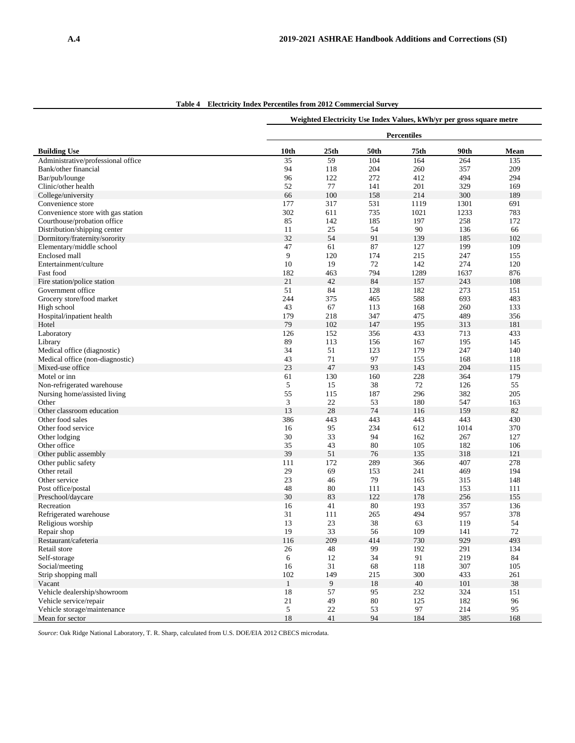|                                              | Weighted Electricity Use Index Values, kWh/yr per gross square metre |                  |           |            |            |           |  |  |
|----------------------------------------------|----------------------------------------------------------------------|------------------|-----------|------------|------------|-----------|--|--|
|                                              | <b>Percentiles</b>                                                   |                  |           |            |            |           |  |  |
| <b>Building Use</b>                          | 10th                                                                 | 25 <sub>th</sub> | 50th      | 75th       | 90th       | Mean      |  |  |
| Administrative/professional office           | 35                                                                   | 59               | 104       | 164        | 264        | 135       |  |  |
| Bank/other financial                         | 94                                                                   | 118              | 204       | 260        | 357        | 209       |  |  |
| Bar/pub/lounge                               | 96                                                                   | 122              | 272       | 412        | 494        | 294       |  |  |
| Clinic/other health                          | 52                                                                   | 77               | 141       | 201        | 329        | 169       |  |  |
| College/university                           | 66                                                                   | 100              | 158       | 214        | 300        | 189       |  |  |
| Convenience store                            | 177                                                                  | 317              | 531       | 1119       | 1301       | 691       |  |  |
| Convenience store with gas station           | 302                                                                  | 611              | 735       | 1021       | 1233       | 783       |  |  |
| Courthouse/probation office                  | 85                                                                   | 142              | 185       | 197        | 258        | 172       |  |  |
| Distribution/shipping center                 | 11                                                                   | 25               | 54        | 90         | 136        | 66        |  |  |
| Dormitory/fraternity/sorority                | 32                                                                   | 54               | 91        | 139        | 185        | 102       |  |  |
| Elementary/middle school                     | 47                                                                   | 61               | 87        | 127        | 199        | 109       |  |  |
| Enclosed mall                                | 9                                                                    | 120              | 174       | 215        | 247        | 155       |  |  |
| Entertainment/culture                        | 10                                                                   | 19               | 72        | 142        | 274        | 120       |  |  |
| Fast food                                    | 182                                                                  | 463              | 794       | 1289       | 1637       | 876       |  |  |
| Fire station/police station                  | 21                                                                   | 42               | 84        | 157        | 243        | 108       |  |  |
| Government office                            | 51                                                                   | 84               | 128       | 182        | 273        | 151       |  |  |
| Grocery store/food market                    | 244                                                                  | 375              | 465       | 588        | 693        | 483       |  |  |
| High school                                  | 43                                                                   | 67               | 113       | 168        | 260        | 133       |  |  |
| Hospital/inpatient health                    | 179                                                                  | 218              | 347       | 475        | 489        | 356       |  |  |
| Hotel                                        | 79                                                                   | 102              | 147       | 195        | 313        | 181       |  |  |
| Laboratory                                   | 126                                                                  | 152              | 356       | 433        | 713        | 433       |  |  |
| Library                                      | 89                                                                   | 113              | 156       | 167        | 195        | 145       |  |  |
| Medical office (diagnostic)                  | 34                                                                   | 51               | 123       | 179        | 247        | 140       |  |  |
| Medical office (non-diagnostic)              | 43                                                                   | 71               | 97        | 155        | 168        | 118       |  |  |
| Mixed-use office                             | 23                                                                   | 47               | 93        | 143        | 204        | 115       |  |  |
| Motel or inn                                 | 61                                                                   | 130              | 160       | 228        | 364        | 179       |  |  |
| Non-refrigerated warehouse                   | 5                                                                    | 15               | 38        | 72         | 126        | 55        |  |  |
|                                              | 55                                                                   | 115              | 187       | 296        | 382        | 205       |  |  |
| Nursing home/assisted living<br>Other        | 3                                                                    | 22               | 53        | 180        | 547        | 163       |  |  |
| Other classroom education                    | 13                                                                   | 28               | 74        | 116        | 159        | 82        |  |  |
| Other food sales                             | 386                                                                  | 443              | 443       | 443        | 443        | 430       |  |  |
| Other food service                           | 16                                                                   | 95               | 234       | 612        | 1014       | 370       |  |  |
| Other lodging                                | 30                                                                   | 33               | 94        | 162        | 267        | 127       |  |  |
| Other office                                 | 35                                                                   | 43               | 80        | 105        | 182        | 106       |  |  |
|                                              | 39                                                                   | 51               | 76        | 135        | 318        | 121       |  |  |
| Other public assembly<br>Other public safety |                                                                      | 172              | 289       | 366        | 407        | 278       |  |  |
| Other retail                                 | 111<br>29                                                            | 69               | 153       | 241        | 469        | 194       |  |  |
|                                              |                                                                      |                  |           |            |            |           |  |  |
| Other service<br>Post office/postal          | 23<br>48                                                             | 46<br>80         | 79<br>111 | 165        | 315<br>153 | 148       |  |  |
|                                              | 30                                                                   | 83               | 122       | 143        |            | 111       |  |  |
| Preschool/daycare<br>Recreation              |                                                                      | 41               | 80        | 178<br>193 | 256<br>357 | 155       |  |  |
|                                              | 16                                                                   |                  |           |            |            | 136       |  |  |
| Refrigerated warehouse                       | 31                                                                   | 111<br>23        | 265       | 494        | 957        | 378       |  |  |
| Religious worship                            | 13                                                                   |                  | 38        | 63         | 119        | 54        |  |  |
| Repair shop                                  | 19                                                                   | 33               | 56        | 109        | 141        | 72        |  |  |
| Restaurant/cafeteria                         | 116                                                                  | 209              | 414       | 730        | 929        | 493       |  |  |
| Retail store                                 | 26                                                                   | 48               | 99<br>34  | 192<br>91  | 291<br>219 | 134<br>84 |  |  |
| Self-storage                                 | 6                                                                    | 12               |           |            |            |           |  |  |
| Social/meeting                               | 16                                                                   | 31               | 68        | 118        | 307        | 105       |  |  |
| Strip shopping mall                          | 102                                                                  | 149              | 215       | 300        | 433        | 261       |  |  |
| Vacant                                       | $\mathbf{1}$                                                         | 9                | 18        | 40         | 101        | 38        |  |  |
| Vehicle dealership/showroom                  | 18                                                                   | 57               | 95        | 232        | 324        | 151       |  |  |
| Vehicle service/repair                       | 21                                                                   | 49               | 80        | 125        | 182        | 96        |  |  |
| Vehicle storage/maintenance                  | $\mathfrak{S}$                                                       | $22\,$           | 53        | 97         | 214        | 95        |  |  |
| Mean for sector                              | $18\,$                                                               | 41               | 94        | 184        | 385        | 168       |  |  |

**Table 4 Electricity Index Percentiles from 2012 Commercial Survey**

*Source*: Oak Ridge National Laboratory, T. R. Sharp, calculated from U.S. DOE/EIA 2012 CBECS microdata.